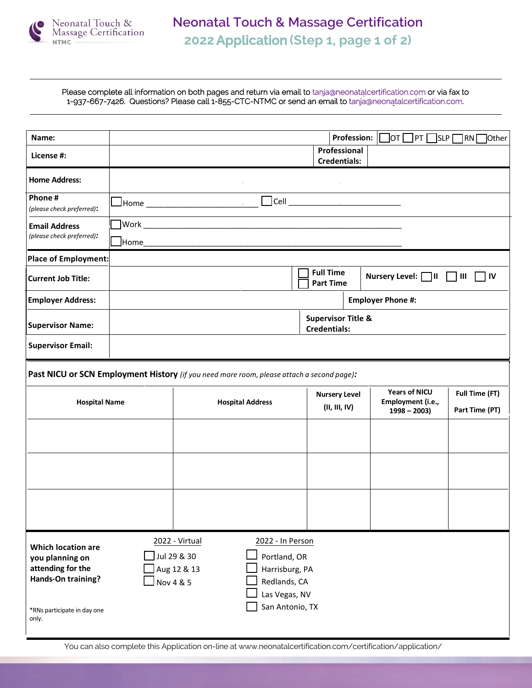

Please complete all information on both pages and return via email to tanja@neonatalcertification.com or via fax to 1-937-667-7426. Questions? Please call 1-855-CTC-NTMC or send an email to tanja@neonatalcertification.com.

| Name:                                                                                                                           |                                                                                             |                                              |                                                                                                        |                                       | <b>Profession:</b> | ]от ∏ рт [<br> slp                                         | 1RN L<br><b>Other</b>            |  |
|---------------------------------------------------------------------------------------------------------------------------------|---------------------------------------------------------------------------------------------|----------------------------------------------|--------------------------------------------------------------------------------------------------------|---------------------------------------|--------------------|------------------------------------------------------------|----------------------------------|--|
| License #:                                                                                                                      | Professional<br><b>Credentials:</b>                                                         |                                              |                                                                                                        |                                       |                    |                                                            |                                  |  |
| <b>Home Address:</b>                                                                                                            |                                                                                             |                                              |                                                                                                        |                                       |                    |                                                            |                                  |  |
| Phone#<br>(please check preferred):                                                                                             | <b>L</b> Home _____________________________                                                 |                                              | $\Box$ Cell $\Box$                                                                                     |                                       |                    |                                                            |                                  |  |
| <b>Email Address</b><br>(please check preferred):                                                                               | Home                                                                                        |                                              |                                                                                                        |                                       |                    |                                                            |                                  |  |
| <b>Place of Employment:</b>                                                                                                     |                                                                                             |                                              |                                                                                                        |                                       |                    |                                                            |                                  |  |
| <b>Current Job Title:</b>                                                                                                       | <b>Full Time</b><br>Nursery Level: $\Box$ III $\Box$ III<br>$\sqcap$ IV<br><b>Part Time</b> |                                              |                                                                                                        |                                       |                    |                                                            |                                  |  |
| <b>Employer Address:</b>                                                                                                        |                                                                                             | <b>Employer Phone #:</b>                     |                                                                                                        |                                       |                    |                                                            |                                  |  |
| <b>Supervisor Name:</b>                                                                                                         | <b>Supervisor Title &amp;</b><br><b>Credentials:</b>                                        |                                              |                                                                                                        |                                       |                    |                                                            |                                  |  |
| <b>Supervisor Email:</b>                                                                                                        |                                                                                             |                                              |                                                                                                        |                                       |                    |                                                            |                                  |  |
| Past NICU or SCN Employment History (if you need more room, please attach a second page):                                       |                                                                                             |                                              |                                                                                                        |                                       |                    |                                                            |                                  |  |
| <b>Hospital Name</b>                                                                                                            |                                                                                             | <b>Hospital Address</b>                      |                                                                                                        | <b>Nursery Level</b><br>(II, III, IV) |                    | <b>Years of NICU</b><br>Employment (i.e.,<br>$1998 - 2003$ | Full Time (FT)<br>Part Time (PT) |  |
|                                                                                                                                 |                                                                                             |                                              |                                                                                                        |                                       |                    |                                                            |                                  |  |
|                                                                                                                                 |                                                                                             |                                              |                                                                                                        |                                       |                    |                                                            |                                  |  |
|                                                                                                                                 |                                                                                             |                                              |                                                                                                        |                                       |                    |                                                            |                                  |  |
|                                                                                                                                 |                                                                                             |                                              |                                                                                                        |                                       |                    |                                                            |                                  |  |
| <b>Which location are</b><br>you planning on<br>attending for the<br>Hands-On training?<br>*RNs participate in day one<br>only. | Nov 4 & 5                                                                                   | 2022 - Virtual<br>Jul 29 & 30<br>Aug 12 & 13 | 2022 - In Person<br>Portland, OR<br>Harrisburg, PA<br>Redlands, CA<br>Las Vegas, NV<br>San Antonio, TX |                                       |                    |                                                            |                                  |  |

You can also complete this Application on-line at www.neonatalcertification.com/certification/application/